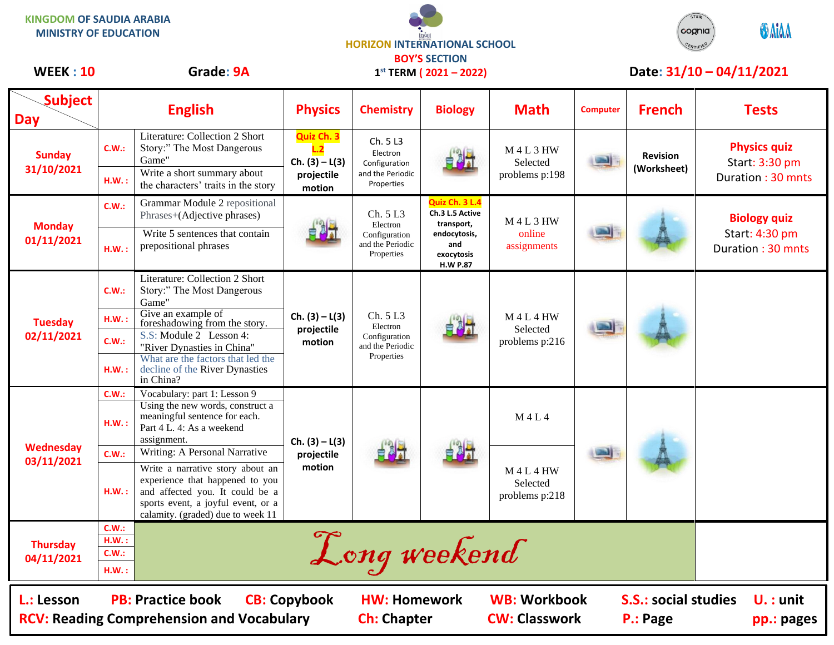**KINGDOM OF SAUDIA ARABIA MINISTRY OF EDUCATION**





## WEEK : 10 Grade: 9A 1<sup>st</sup> TERM (2021 – 2022) Date: 31/10 – 04/11/2021

| <b>Subject</b>                                                                                                                                                                                                                                                                        |               |                                                                                                                                                                                   |                                          |                                                                         |                                                                                                         |                                             |                 |                 |                                       |
|---------------------------------------------------------------------------------------------------------------------------------------------------------------------------------------------------------------------------------------------------------------------------------------|---------------|-----------------------------------------------------------------------------------------------------------------------------------------------------------------------------------|------------------------------------------|-------------------------------------------------------------------------|---------------------------------------------------------------------------------------------------------|---------------------------------------------|-----------------|-----------------|---------------------------------------|
| <b>Day</b>                                                                                                                                                                                                                                                                            |               | <b>English</b>                                                                                                                                                                    | <b>Physics</b>                           | <b>Chemistry</b>                                                        | <b>Biology</b>                                                                                          | <b>Math</b>                                 | <b>Computer</b> | <b>French</b>   | <b>Tests</b>                          |
| <b>Sunday</b><br>31/10/2021                                                                                                                                                                                                                                                           | C.W.:         | Literature: Collection 2 Short<br>Story:" The Most Dangerous<br>Game"                                                                                                             | Quiz Ch. 3<br>$Ch. (3) - L(3)$           | Ch. 5 L3<br>Electron<br>Configuration                                   | 自制式                                                                                                     | <b>M4L3HW</b><br>Selected                   | <b>Septim</b>   | <b>Revision</b> | <b>Physics quiz</b><br>Start: 3:30 pm |
|                                                                                                                                                                                                                                                                                       | HM.:          | Write a short summary about<br>the characters' traits in the story                                                                                                                | projectile<br>motion                     | and the Periodic<br>Properties                                          |                                                                                                         | problems p:198                              |                 | (Worksheet)     | Duration: 30 mnts                     |
| <b>Monday</b><br>01/11/2021                                                                                                                                                                                                                                                           | C.W.:         | Grammar Module 2 repositional<br>Phrases+(Adjective phrases)                                                                                                                      |                                          | Ch. 5L3<br>Electron<br>Configuration<br>and the Periodic<br>Properties  | Quiz Ch. 3 L.4<br>Ch.3 L.5 Active<br>transport,<br>endocytosis,<br>and<br>exocytosis<br><b>H.W P.87</b> | $M$ 4 L 3 HW<br>online<br>assignments       | <b>Jibs</b>     |                 | <b>Biology quiz</b>                   |
|                                                                                                                                                                                                                                                                                       | H.W.:         | Write 5 sentences that contain<br>prepositional phrases                                                                                                                           |                                          |                                                                         |                                                                                                         |                                             |                 |                 | Start: 4:30 pm<br>Duration: 30 mnts   |
| <b>Tuesday</b><br>02/11/2021                                                                                                                                                                                                                                                          | C.W.:         | Literature: Collection 2 Short<br>Story:" The Most Dangerous<br>Game"                                                                                                             | $Ch. (3) - L(3)$<br>projectile<br>motion | Ch. 5 L3<br>Electron<br>Configuration<br>and the Periodic<br>Properties |                                                                                                         | <b>M4L4HW</b><br>Selected<br>problems p:216 |                 |                 |                                       |
|                                                                                                                                                                                                                                                                                       | H.W.:         | Give an example of<br>foreshadowing from the story.                                                                                                                               |                                          |                                                                         |                                                                                                         |                                             |                 |                 |                                       |
|                                                                                                                                                                                                                                                                                       | C.W.:         | S.S: Module 2 Lesson 4:<br>"River Dynasties in China"                                                                                                                             |                                          |                                                                         |                                                                                                         |                                             |                 |                 |                                       |
|                                                                                                                                                                                                                                                                                       | HM.:          | What are the factors that led the<br>decline of the River Dynasties<br>in China?                                                                                                  |                                          |                                                                         |                                                                                                         |                                             |                 |                 |                                       |
| Wednesday<br>03/11/2021                                                                                                                                                                                                                                                               | C.W.:<br>HM.: | Vocabulary: part 1: Lesson 9<br>Using the new words, construct a<br>meaningful sentence for each.<br>Part 4 L, 4: As a weekend                                                    | $Ch. (3) - L(3)$<br>projectile<br>motion | 自测力                                                                     |                                                                                                         | M 4 L 4                                     |                 |                 |                                       |
|                                                                                                                                                                                                                                                                                       | C.W.:         | assignment.<br>Writing: A Personal Narrative                                                                                                                                      |                                          |                                                                         |                                                                                                         |                                             | <b>STAR</b>     |                 |                                       |
|                                                                                                                                                                                                                                                                                       | H.W.:         | Write a narrative story about an<br>experience that happened to you<br>and affected you. It could be a<br>sports event, a joyful event, or a<br>calamity. (graded) due to week 11 |                                          |                                                                         |                                                                                                         | <b>M4L4HW</b><br>Selected<br>problems p:218 |                 |                 |                                       |
| <b>Thursday</b><br>04/11/2021                                                                                                                                                                                                                                                         | C.W.:<br>HM.: |                                                                                                                                                                                   |                                          |                                                                         |                                                                                                         |                                             |                 |                 |                                       |
|                                                                                                                                                                                                                                                                                       | C.W.:<br>HM.: | Long weekend                                                                                                                                                                      |                                          |                                                                         |                                                                                                         |                                             |                 |                 |                                       |
| <b>WB: Workbook</b><br><b>PB: Practice book</b><br><b>CB: Copybook</b><br><b>HW: Homework</b><br><b>S.S.: social studies</b><br>L.: Lesson<br>$U.$ : unit<br><b>RCV: Reading Comprehension and Vocabulary</b><br><b>Ch: Chapter</b><br><b>CW: Classwork</b><br>P.: Page<br>pp.: pages |               |                                                                                                                                                                                   |                                          |                                                                         |                                                                                                         |                                             |                 |                 |                                       |